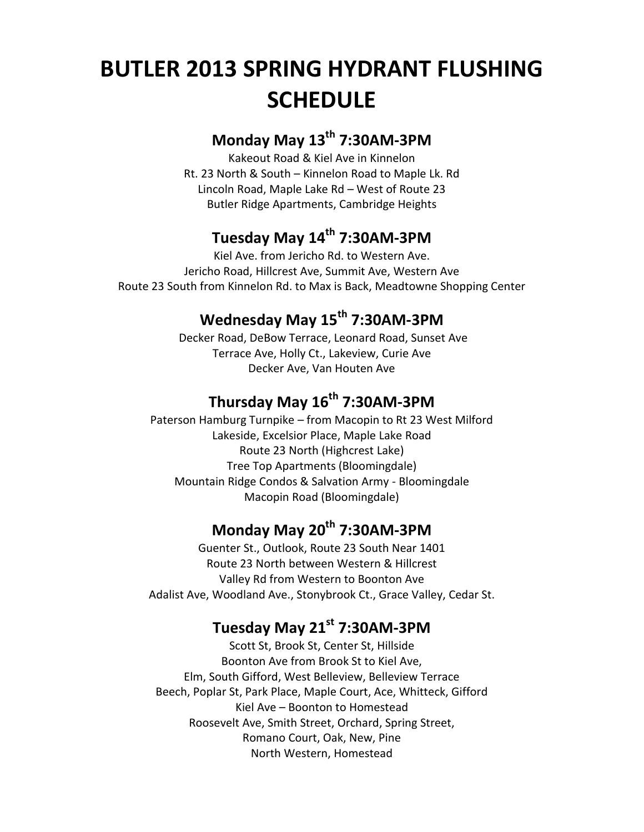# **BUTLER 2013 SPRING HYDRANT FLUSHING SCHEDULE**

## **Monday May 13th 7:30AM-3PM**

Kakeout Road & Kiel Ave in Kinnelon Rt. 23 North & South – Kinnelon Road to Maple Lk. Rd Lincoln Road, Maple Lake Rd – West of Route 23 Butler Ridge Apartments, Cambridge Heights

## **Tuesday May 14th 7:30AM-3PM**

Kiel Ave. from Jericho Rd. to Western Ave. Jericho Road, Hillcrest Ave, Summit Ave, Western Ave Route 23 South from Kinnelon Rd. to Max is Back, Meadtowne Shopping Center

## **Wednesday May 15th 7:30AM-3PM**

Decker Road, DeBow Terrace, Leonard Road, Sunset Ave Terrace Ave, Holly Ct., Lakeview, Curie Ave Decker Ave, Van Houten Ave

# **Thursday May 16th 7:30AM-3PM**

Paterson Hamburg Turnpike – from Macopin to Rt 23 West Milford Lakeside, Excelsior Place, Maple Lake Road Route 23 North (Highcrest Lake) Tree Top Apartments (Bloomingdale) Mountain Ridge Condos & Salvation Army - Bloomingdale Macopin Road (Bloomingdale)

## **Monday May 20th 7:30AM-3PM**

Guenter St., Outlook, Route 23 South Near 1401 Route 23 North between Western & Hillcrest Valley Rd from Western to Boonton Ave Adalist Ave, Woodland Ave., Stonybrook Ct., Grace Valley, Cedar St.

## **Tuesday May 21st 7:30AM-3PM**

Scott St, Brook St, Center St, Hillside Boonton Ave from Brook St to Kiel Ave, Elm, South Gifford, West Belleview, Belleview Terrace Beech, Poplar St, Park Place, Maple Court, Ace, Whitteck, Gifford Kiel Ave – Boonton to Homestead Roosevelt Ave, Smith Street, Orchard, Spring Street, Romano Court, Oak, New, Pine North Western, Homestead